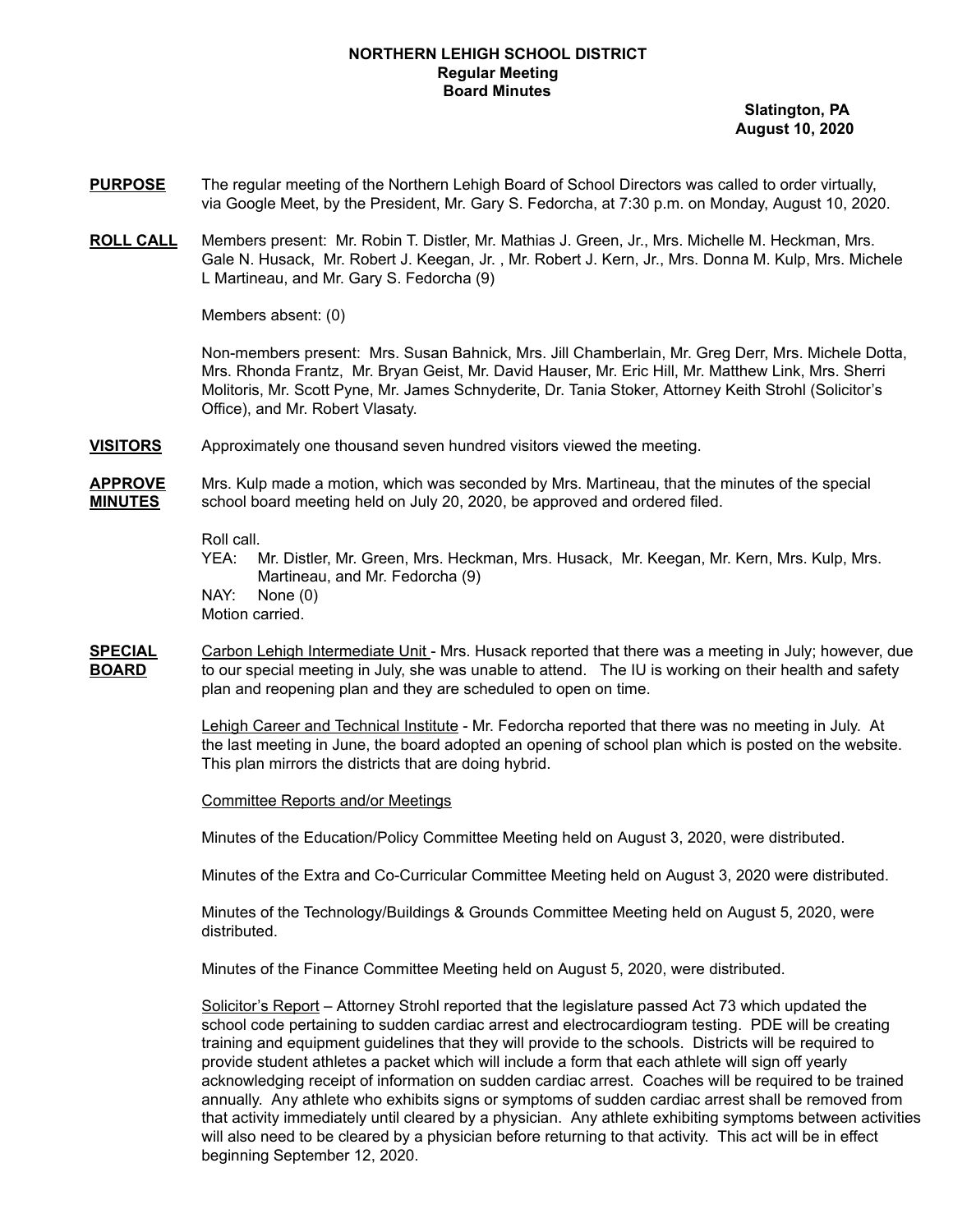## **NORTHERN LEHIGH SCHOOL DISTRICT Regular Meeting Board Minutes**

**Slatington, PA August 10, 2020**

- **PURPOSE** The regular meeting of the Northern Lehigh Board of School Directors was called to order virtually, via Google Meet, by the President, Mr. Gary S. Fedorcha, at 7:30 p.m. on Monday, August 10, 2020.
- **ROLL CALL** Members present: Mr. Robin T. Distler, Mr. Mathias J. Green, Jr., Mrs. Michelle M. Heckman, Mrs. Gale N. Husack, Mr. Robert J. Keegan, Jr. , Mr. Robert J. Kern, Jr., Mrs. Donna M. Kulp, Mrs. Michele L Martineau, and Mr. Gary S. Fedorcha (9)

Members absent: (0)

Non-members present: Mrs. Susan Bahnick, Mrs. Jill Chamberlain, Mr. Greg Derr, Mrs. Michele Dotta, Mrs. Rhonda Frantz, Mr. Bryan Geist, Mr. David Hauser, Mr. Eric Hill, Mr. Matthew Link, Mrs. Sherri Molitoris, Mr. Scott Pyne, Mr. James Schnyderite, Dr. Tania Stoker, Attorney Keith Strohl (Solicitor's Office), and Mr. Robert Vlasaty.

**VISITORS** Approximately one thousand seven hundred visitors viewed the meeting.

**APPROVE** Mrs. Kulp made a motion, which was seconded by Mrs. Martineau, that the minutes of the special **MINUTES** school board meeting held on July 20, 2020, be approved and ordered filed.

Roll call.

YEA: Mr. Distler, Mr. Green, Mrs. Heckman, Mrs. Husack, Mr. Keegan, Mr. Kern, Mrs. Kulp, Mrs. Martineau, and Mr. Fedorcha (9) NAY: None (0) Motion carried.

**SPECIAL** Carbon Lehigh Intermediate Unit - Mrs. Husack reported that there was a meeting in July; however, due **BOARD** to our special meeting in July, she was unable to attend. The IU is working on their health and safety plan and reopening plan and they are scheduled to open on time.

> Lehigh Career and Technical Institute - Mr. Fedorcha reported that there was no meeting in July. At the last meeting in June, the board adopted an opening of school plan which is posted on the website. This plan mirrors the districts that are doing hybrid.

Committee Reports and/or Meetings

Minutes of the Education/Policy Committee Meeting held on August 3, 2020, were distributed.

Minutes of the Extra and Co-Curricular Committee Meeting held on August 3, 2020 were distributed.

Minutes of the Technology/Buildings & Grounds Committee Meeting held on August 5, 2020, were distributed.

Minutes of the Finance Committee Meeting held on August 5, 2020, were distributed.

Solicitor's Report – Attorney Strohl reported that the legislature passed Act 73 which updated the school code pertaining to sudden cardiac arrest and electrocardiogram testing. PDE will be creating training and equipment guidelines that they will provide to the schools. Districts will be required to provide student athletes a packet which will include a form that each athlete will sign off yearly acknowledging receipt of information on sudden cardiac arrest. Coaches will be required to be trained annually. Any athlete who exhibits signs or symptoms of sudden cardiac arrest shall be removed from that activity immediately until cleared by a physician. Any athlete exhibiting symptoms between activities will also need to be cleared by a physician before returning to that activity. This act will be in effect beginning September 12, 2020.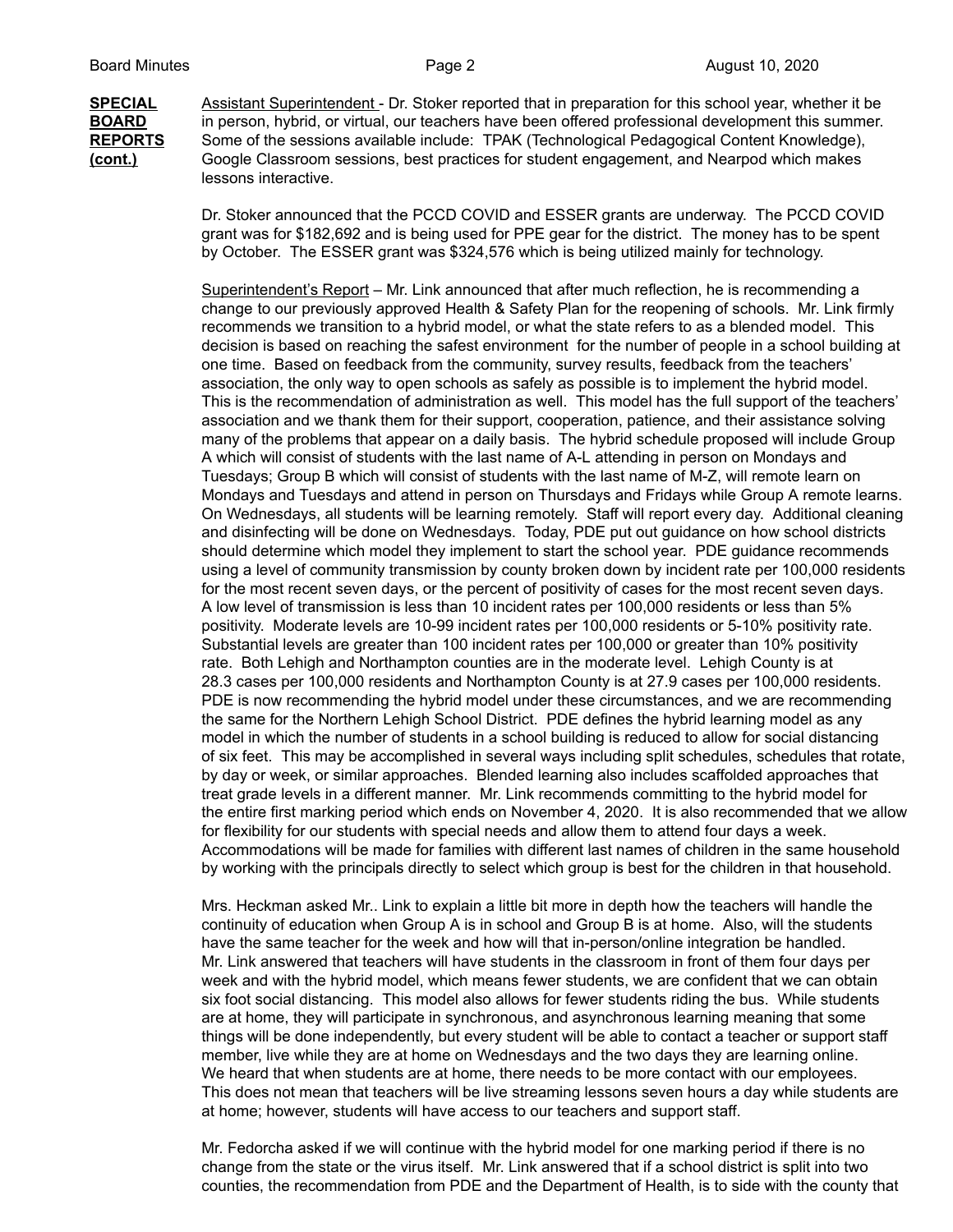**SPECIAL** Assistant Superintendent - Dr. Stoker reported that in preparation for this school year, whether it be **BOARD** in person, hybrid, or virtual, our teachers have been offered professional development this summer. **REPORTS** Some of the sessions available include: TPAK (Technological Pedagogical Content Knowledge), **(cont.)** Google Classroom sessions, best practices for student engagement, and Nearpod which makes lessons interactive.

> Dr. Stoker announced that the PCCD COVID and ESSER grants are underway. The PCCD COVID grant was for \$182,692 and is being used for PPE gear for the district. The money has to be spent by October. The ESSER grant was \$324,576 which is being utilized mainly for technology.

Superintendent's Report - Mr. Link announced that after much reflection, he is recommending a change to our previously approved Health & Safety Plan for the reopening of schools. Mr. Link firmly recommends we transition to a hybrid model, or what the state refers to as a blended model. This decision is based on reaching the safest environment for the number of people in a school building at one time. Based on feedback from the community, survey results, feedback from the teachers' association, the only way to open schools as safely as possible is to implement the hybrid model. This is the recommendation of administration as well. This model has the full support of the teachers' association and we thank them for their support, cooperation, patience, and their assistance solving many of the problems that appear on a daily basis. The hybrid schedule proposed will include Group A which will consist of students with the last name of A-L attending in person on Mondays and Tuesdays; Group B which will consist of students with the last name of M-Z, will remote learn on Mondays and Tuesdays and attend in person on Thursdays and Fridays while Group A remote learns. On Wednesdays, all students will be learning remotely. Staff will report every day. Additional cleaning and disinfecting will be done on Wednesdays. Today, PDE put out guidance on how school districts should determine which model they implement to start the school year. PDE guidance recommends using a level of community transmission by county broken down by incident rate per 100,000 residents for the most recent seven days, or the percent of positivity of cases for the most recent seven days. A low level of transmission is less than 10 incident rates per 100,000 residents or less than 5% positivity. Moderate levels are 10-99 incident rates per 100,000 residents or 5-10% positivity rate. Substantial levels are greater than 100 incident rates per 100,000 or greater than 10% positivity rate. Both Lehigh and Northampton counties are in the moderate level. Lehigh County is at 28.3 cases per 100,000 residents and Northampton County is at 27.9 cases per 100,000 residents. PDE is now recommending the hybrid model under these circumstances, and we are recommending the same for the Northern Lehigh School District. PDE defines the hybrid learning model as any model in which the number of students in a school building is reduced to allow for social distancing of six feet. This may be accomplished in several ways including split schedules, schedules that rotate, by day or week, or similar approaches. Blended learning also includes scaffolded approaches that treat grade levels in a different manner. Mr. Link recommends committing to the hybrid model for the entire first marking period which ends on November 4, 2020. It is also recommended that we allow for flexibility for our students with special needs and allow them to attend four days a week. Accommodations will be made for families with different last names of children in the same household by working with the principals directly to select which group is best for the children in that household.

Mrs. Heckman asked Mr.. Link to explain a little bit more in depth how the teachers will handle the continuity of education when Group A is in school and Group B is at home. Also, will the students have the same teacher for the week and how will that in-person/online integration be handled. Mr. Link answered that teachers will have students in the classroom in front of them four days per week and with the hybrid model, which means fewer students, we are confident that we can obtain six foot social distancing. This model also allows for fewer students riding the bus. While students are at home, they will participate in synchronous, and asynchronous learning meaning that some things will be done independently, but every student will be able to contact a teacher or support staff member, live while they are at home on Wednesdays and the two days they are learning online. We heard that when students are at home, there needs to be more contact with our employees. This does not mean that teachers will be live streaming lessons seven hours a day while students are at home; however, students will have access to our teachers and support staff.

Mr. Fedorcha asked if we will continue with the hybrid model for one marking period if there is no change from the state or the virus itself. Mr. Link answered that if a school district is split into two counties, the recommendation from PDE and the Department of Health, is to side with the county that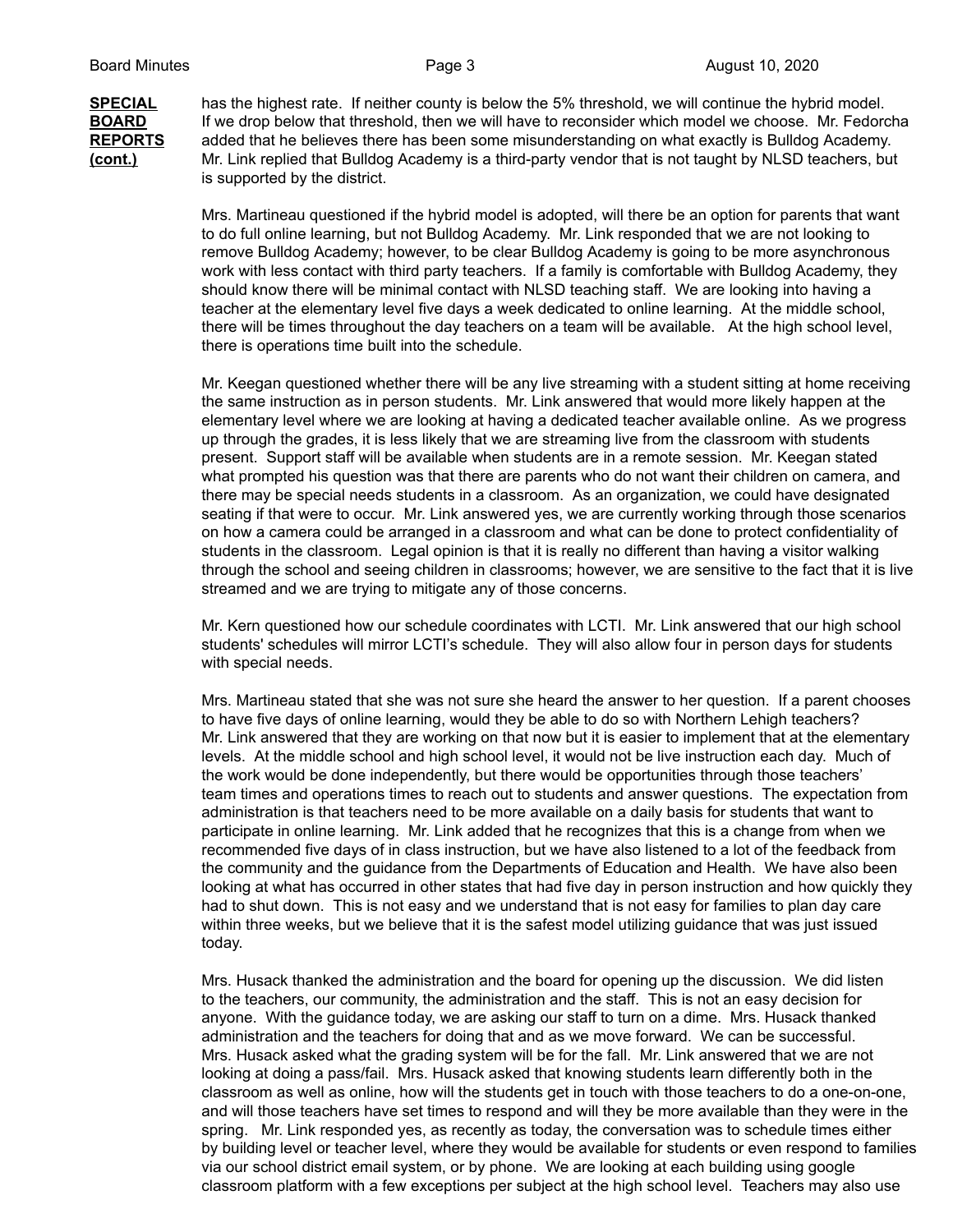**SPECIAL** has the highest rate. If neither county is below the 5% threshold, we will continue the hybrid model. **BOARD** If we drop below that threshold, then we will have to reconsider which model we choose. Mr. Fedorcha **REPORTS** added that he believes there has been some misunderstanding on what exactly is Bulldog Academy. **(cont.)** Mr. Link replied that Bulldog Academy is a third-party vendor that is not taught by NLSD teachers, but is supported by the district.

> Mrs. Martineau questioned if the hybrid model is adopted, will there be an option for parents that want to do full online learning, but not Bulldog Academy. Mr. Link responded that we are not looking to remove Bulldog Academy; however, to be clear Bulldog Academy is going to be more asynchronous work with less contact with third party teachers. If a family is comfortable with Bulldog Academy, they should know there will be minimal contact with NLSD teaching staff. We are looking into having a teacher at the elementary level five days a week dedicated to online learning. At the middle school, there will be times throughout the day teachers on a team will be available. At the high school level, there is operations time built into the schedule.

Mr. Keegan questioned whether there will be any live streaming with a student sitting at home receiving the same instruction as in person students. Mr. Link answered that would more likely happen at the elementary level where we are looking at having a dedicated teacher available online. As we progress up through the grades, it is less likely that we are streaming live from the classroom with students present. Support staff will be available when students are in a remote session. Mr. Keegan stated what prompted his question was that there are parents who do not want their children on camera, and there may be special needs students in a classroom. As an organization, we could have designated seating if that were to occur. Mr. Link answered yes, we are currently working through those scenarios on how a camera could be arranged in a classroom and what can be done to protect confidentiality of students in the classroom. Legal opinion is that it is really no different than having a visitor walking through the school and seeing children in classrooms; however, we are sensitive to the fact that it is live streamed and we are trying to mitigate any of those concerns.

Mr. Kern questioned how our schedule coordinates with LCTI. Mr. Link answered that our high school students' schedules will mirror LCTI's schedule. They will also allow four in person days for students with special needs.

Mrs. Martineau stated that she was not sure she heard the answer to her question. If a parent chooses to have five days of online learning, would they be able to do so with Northern Lehigh teachers? Mr. Link answered that they are working on that now but it is easier to implement that at the elementary levels. At the middle school and high school level, it would not be live instruction each day. Much of the work would be done independently, but there would be opportunities through those teachers' team times and operations times to reach out to students and answer questions. The expectation from administration is that teachers need to be more available on a daily basis for students that want to participate in online learning. Mr. Link added that he recognizes that this is a change from when we recommended five days of in class instruction, but we have also listened to a lot of the feedback from the community and the guidance from the Departments of Education and Health. We have also been looking at what has occurred in other states that had five day in person instruction and how quickly they had to shut down. This is not easy and we understand that is not easy for families to plan day care within three weeks, but we believe that it is the safest model utilizing guidance that was just issued today.

Mrs. Husack thanked the administration and the board for opening up the discussion. We did listen to the teachers, our community, the administration and the staff. This is not an easy decision for anyone. With the guidance today, we are asking our staff to turn on a dime. Mrs. Husack thanked administration and the teachers for doing that and as we move forward. We can be successful. Mrs. Husack asked what the grading system will be for the fall. Mr. Link answered that we are not looking at doing a pass/fail. Mrs. Husack asked that knowing students learn differently both in the classroom as well as online, how will the students get in touch with those teachers to do a one-on-one, and will those teachers have set times to respond and will they be more available than they were in the spring. Mr. Link responded yes, as recently as today, the conversation was to schedule times either by building level or teacher level, where they would be available for students or even respond to families via our school district email system, or by phone. We are looking at each building using google classroom platform with a few exceptions per subject at the high school level. Teachers may also use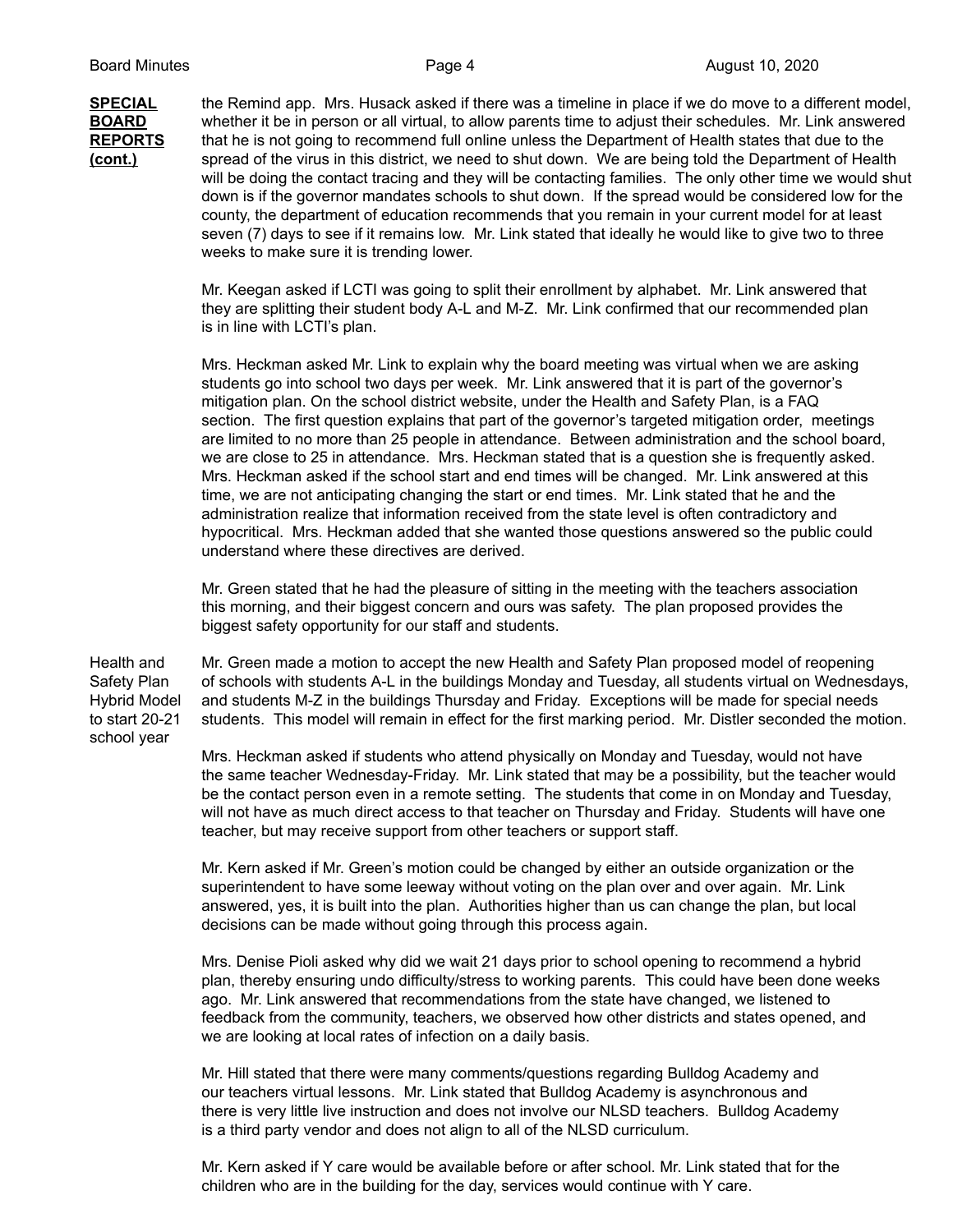**SPECIAL** the Remind app. Mrs. Husack asked if there was a timeline in place if we do move to a different model, **BOARD** whether it be in person or all virtual, to allow parents time to adjust their schedules. Mr. Link answered **REPORTS** that he is not going to recommend full online unless the Department of Health states that due to the **(cont.)** spread of the virus in this district, we need to shut down. We are being told the Department of Health will be doing the contact tracing and they will be contacting families. The only other time we would shut down is if the governor mandates schools to shut down. If the spread would be considered low for the county, the department of education recommends that you remain in your current model for at least seven (7) days to see if it remains low. Mr. Link stated that ideally he would like to give two to three weeks to make sure it is trending lower.

> Mr. Keegan asked if LCTI was going to split their enrollment by alphabet. Mr. Link answered that they are splitting their student body A-L and M-Z. Mr. Link confirmed that our recommended plan is in line with LCTI's plan.

Mrs. Heckman asked Mr. Link to explain why the board meeting was virtual when we are asking students go into school two days per week. Mr. Link answered that it is part of the governor's mitigation plan. On the school district website, under the Health and Safety Plan, is a FAQ section. The first question explains that part of the governor's targeted mitigation order, meetings are limited to no more than 25 people in attendance. Between administration and the school board, we are close to 25 in attendance. Mrs. Heckman stated that is a question she is frequently asked. Mrs. Heckman asked if the school start and end times will be changed. Mr. Link answered at this time, we are not anticipating changing the start or end times. Mr. Link stated that he and the administration realize that information received from the state level is often contradictory and hypocritical. Mrs. Heckman added that she wanted those questions answered so the public could understand where these directives are derived.

Mr. Green stated that he had the pleasure of sitting in the meeting with the teachers association this morning, and their biggest concern and ours was safety. The plan proposed provides the biggest safety opportunity for our staff and students.

school year

Health and Mr. Green made a motion to accept the new Health and Safety Plan proposed model of reopening Safety Plan of schools with students A-L in the buildings Monday and Tuesday, all students virtual on Wednesdays, Hybrid Model and students M-Z in the buildings Thursday and Friday. Exceptions will be made for special needs to start 20-21 students. This model will remain in effect for the first marking period. Mr. Distler seconded the motion.

> Mrs. Heckman asked if students who attend physically on Monday and Tuesday, would not have the same teacher Wednesday-Friday. Mr. Link stated that may be a possibility, but the teacher would be the contact person even in a remote setting. The students that come in on Monday and Tuesday, will not have as much direct access to that teacher on Thursday and Friday. Students will have one teacher, but may receive support from other teachers or support staff.

Mr. Kern asked if Mr. Green's motion could be changed by either an outside organization or the superintendent to have some leeway without voting on the plan over and over again. Mr. Link answered, yes, it is built into the plan. Authorities higher than us can change the plan, but local decisions can be made without going through this process again.

Mrs. Denise Pioli asked why did we wait 21 days prior to school opening to recommend a hybrid plan, thereby ensuring undo difficulty/stress to working parents. This could have been done weeks ago. Mr. Link answered that recommendations from the state have changed, we listened to feedback from the community, teachers, we observed how other districts and states opened, and we are looking at local rates of infection on a daily basis.

Mr. Hill stated that there were many comments/questions regarding Bulldog Academy and our teachers virtual lessons. Mr. Link stated that Bulldog Academy is asynchronous and there is very little live instruction and does not involve our NLSD teachers. Bulldog Academy is a third party vendor and does not align to all of the NLSD curriculum.

Mr. Kern asked if Y care would be available before or after school. Mr. Link stated that for the children who are in the building for the day, services would continue with Y care.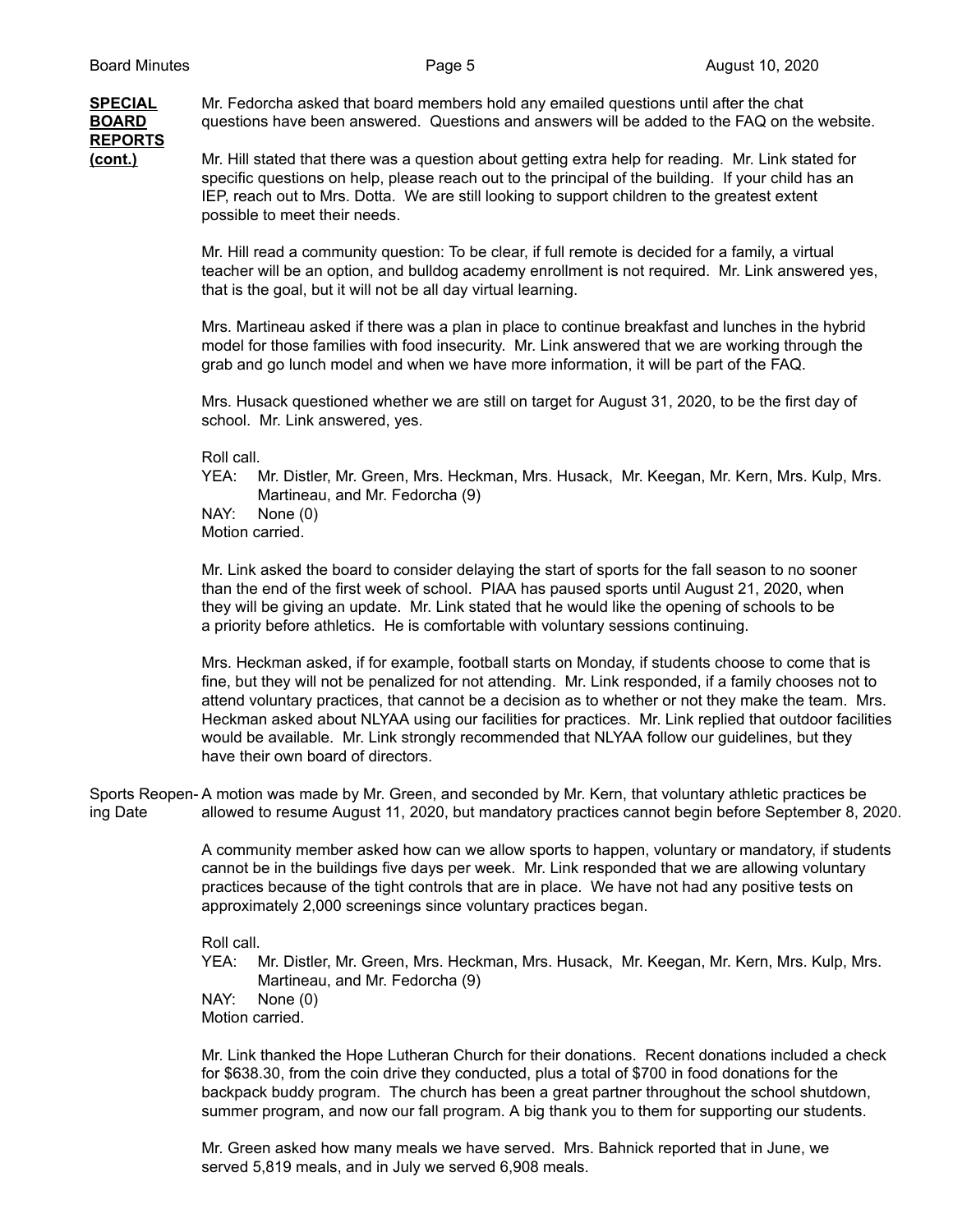## **REPORTS**

**SPECIAL** Mr. Fedorcha asked that board members hold any emailed questions until after the chat **BOARD** questions have been answered. Questions and answers will be added to the FAQ on the website.

**(cont.)** Mr. Hill stated that there was a question about getting extra help for reading. Mr. Link stated for specific questions on help, please reach out to the principal of the building. If your child has an IEP, reach out to Mrs. Dotta. We are still looking to support children to the greatest extent possible to meet their needs.

> Mr. Hill read a community question: To be clear, if full remote is decided for a family, a virtual teacher will be an option, and bulldog academy enrollment is not required. Mr. Link answered yes, that is the goal, but it will not be all day virtual learning.

Mrs. Martineau asked if there was a plan in place to continue breakfast and lunches in the hybrid model for those families with food insecurity. Mr. Link answered that we are working through the grab and go lunch model and when we have more information, it will be part of the FAQ.

Mrs. Husack questioned whether we are still on target for August 31, 2020, to be the first day of school. Mr. Link answered, yes.

Roll call.

YEA: Mr. Distler, Mr. Green, Mrs. Heckman, Mrs. Husack, Mr. Keegan, Mr. Kern, Mrs. Kulp, Mrs. Martineau, and Mr. Fedorcha (9)

NAY: None (0) Motion carried.

Mr. Link asked the board to consider delaying the start of sports for the fall season to no sooner than the end of the first week of school. PIAA has paused sports until August 21, 2020, when they will be giving an update. Mr. Link stated that he would like the opening of schools to be a priority before athletics. He is comfortable with voluntary sessions continuing.

Mrs. Heckman asked, if for example, football starts on Monday, if students choose to come that is fine, but they will not be penalized for not attending. Mr. Link responded, if a family chooses not to attend voluntary practices, that cannot be a decision as to whether or not they make the team. Mrs. Heckman asked about NLYAA using our facilities for practices. Mr. Link replied that outdoor facilities would be available. Mr. Link strongly recommended that NLYAA follow our guidelines, but they have their own board of directors.

Sports Reopen- A motion was made by Mr. Green, and seconded by Mr. Kern, that voluntary athletic practices be ing Date allowed to resume August 11, 2020, but mandatory practices cannot begin before September 8, 2020.

> A community member asked how can we allow sports to happen, voluntary or mandatory, if students cannot be in the buildings five days per week. Mr. Link responded that we are allowing voluntary practices because of the tight controls that are in place. We have not had any positive tests on approximately 2,000 screenings since voluntary practices began.

Roll call.

YEA: Mr. Distler, Mr. Green, Mrs. Heckman, Mrs. Husack, Mr. Keegan, Mr. Kern, Mrs. Kulp, Mrs. Martineau, and Mr. Fedorcha (9)

NAY: None (0)

Motion carried.

Mr. Link thanked the Hope Lutheran Church for their donations. Recent donations included a check for \$638.30, from the coin drive they conducted, plus a total of \$700 in food donations for the backpack buddy program. The church has been a great partner throughout the school shutdown, summer program, and now our fall program. A big thank you to them for supporting our students.

Mr. Green asked how many meals we have served. Mrs. Bahnick reported that in June, we served 5,819 meals, and in July we served 6,908 meals.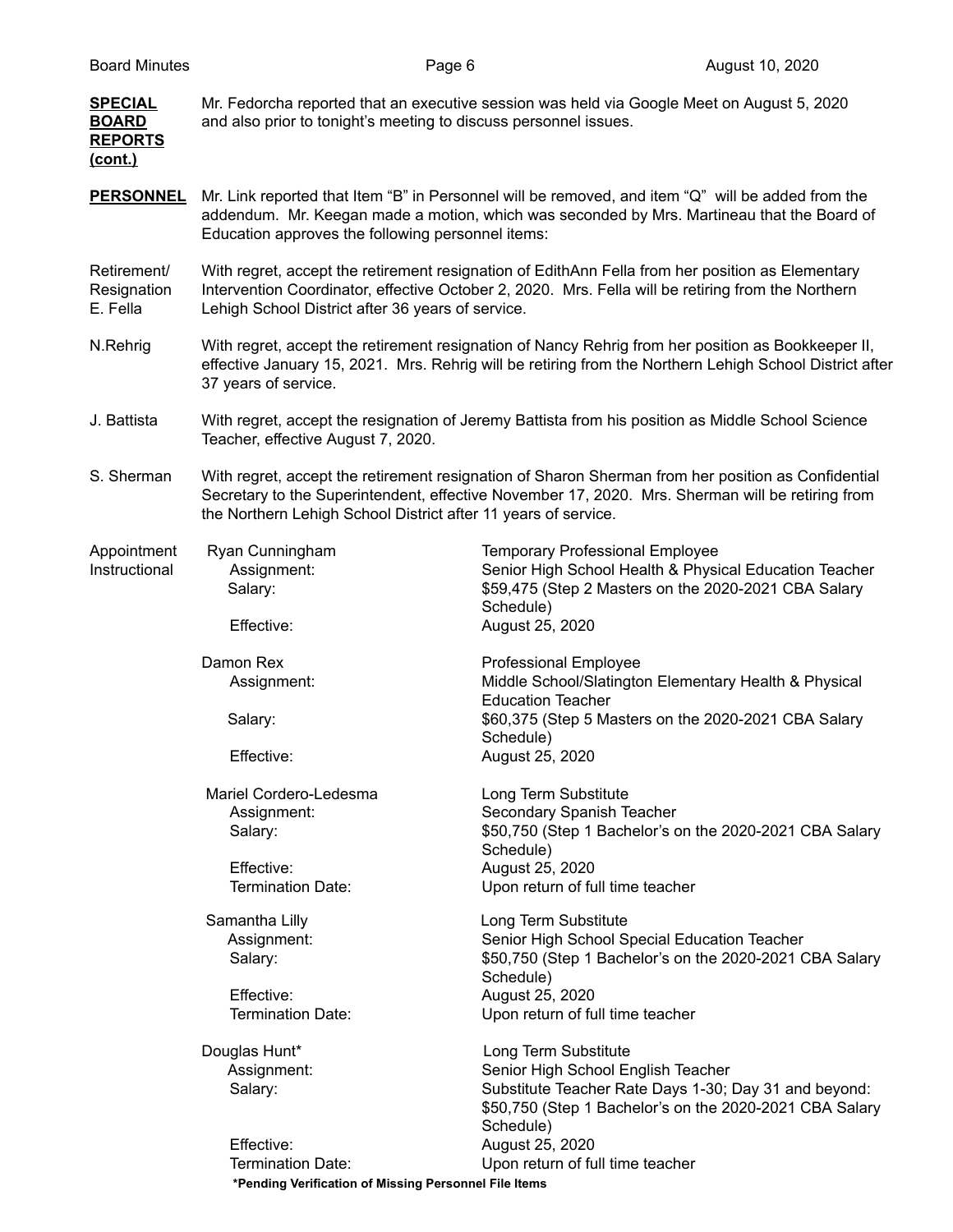| <u>SPECIAL</u><br><b>BOARD</b><br><b>REPORTS</b><br><u>(cont.)</u> | Mr. Fedorcha reported that an executive session was held via Google Meet on August 5, 2020<br>and also prior to tonight's meeting to discuss personnel issues.                                                                                              |                                                                                                                                                                                                        |  |
|--------------------------------------------------------------------|-------------------------------------------------------------------------------------------------------------------------------------------------------------------------------------------------------------------------------------------------------------|--------------------------------------------------------------------------------------------------------------------------------------------------------------------------------------------------------|--|
| <b>PERSONNEL</b>                                                   | Mr. Link reported that Item "B" in Personnel will be removed, and item "Q" will be added from the<br>addendum. Mr. Keegan made a motion, which was seconded by Mrs. Martineau that the Board of<br>Education approves the following personnel items:        |                                                                                                                                                                                                        |  |
| Retirement/<br>Resignation<br>E. Fella                             | With regret, accept the retirement resignation of EdithAnn Fella from her position as Elementary<br>Intervention Coordinator, effective October 2, 2020. Mrs. Fella will be retiring from the Northern<br>Lehigh School District after 36 years of service. |                                                                                                                                                                                                        |  |
| N.Rehrig                                                           | With regret, accept the retirement resignation of Nancy Rehrig from her position as Bookkeeper II,<br>effective January 15, 2021. Mrs. Rehrig will be retiring from the Northern Lehigh School District after<br>37 years of service.                       |                                                                                                                                                                                                        |  |
| J. Battista                                                        | With regret, accept the resignation of Jeremy Battista from his position as Middle School Science<br>Teacher, effective August 7, 2020.                                                                                                                     |                                                                                                                                                                                                        |  |
| S. Sherman                                                         | the Northern Lehigh School District after 11 years of service.                                                                                                                                                                                              | With regret, accept the retirement resignation of Sharon Sherman from her position as Confidential<br>Secretary to the Superintendent, effective November 17, 2020. Mrs. Sherman will be retiring from |  |
| Appointment<br>Instructional                                       | Ryan Cunningham<br>Assignment:<br>Salary:                                                                                                                                                                                                                   | <b>Temporary Professional Employee</b><br>Senior High School Health & Physical Education Teacher<br>\$59,475 (Step 2 Masters on the 2020-2021 CBA Salary<br>Schedule)                                  |  |
|                                                                    | Effective:                                                                                                                                                                                                                                                  | August 25, 2020                                                                                                                                                                                        |  |
|                                                                    | Damon Rex<br>Assignment:                                                                                                                                                                                                                                    | <b>Professional Employee</b><br>Middle School/Slatington Elementary Health & Physical<br><b>Education Teacher</b><br>\$60,375 (Step 5 Masters on the 2020-2021 CBA Salary                              |  |
|                                                                    | Salary:<br>Effective:                                                                                                                                                                                                                                       | Schedule)<br>August 25, 2020                                                                                                                                                                           |  |
|                                                                    | Mariel Cordero-Ledesma<br>Assignment:<br>Salary:<br>Effective:<br><b>Termination Date:</b>                                                                                                                                                                  | Long Term Substitute<br>Secondary Spanish Teacher<br>\$50,750 (Step 1 Bachelor's on the 2020-2021 CBA Salary<br>Schedule)<br>August 25, 2020<br>Upon return of full time teacher                       |  |
|                                                                    | Samantha Lilly<br>Assignment:<br>Salary:<br>Effective:<br><b>Termination Date:</b>                                                                                                                                                                          | Long Term Substitute<br>Senior High School Special Education Teacher<br>\$50,750 (Step 1 Bachelor's on the 2020-2021 CBA Salary<br>Schedule)<br>August 25, 2020<br>Upon return of full time teacher    |  |
|                                                                    | Douglas Hunt*<br>Assignment:<br>Salary:                                                                                                                                                                                                                     | Long Term Substitute<br>Senior High School English Teacher<br>Substitute Teacher Rate Days 1-30; Day 31 and beyond:<br>\$50,750 (Step 1 Bachelor's on the 2020-2021 CBA Salary<br>Schedule)            |  |
|                                                                    | Effective:<br>Termination Date:                                                                                                                                                                                                                             | August 25, 2020<br>Upon return of full time teacher                                                                                                                                                    |  |

**\*Pending Verification of Missing Personnel File Items**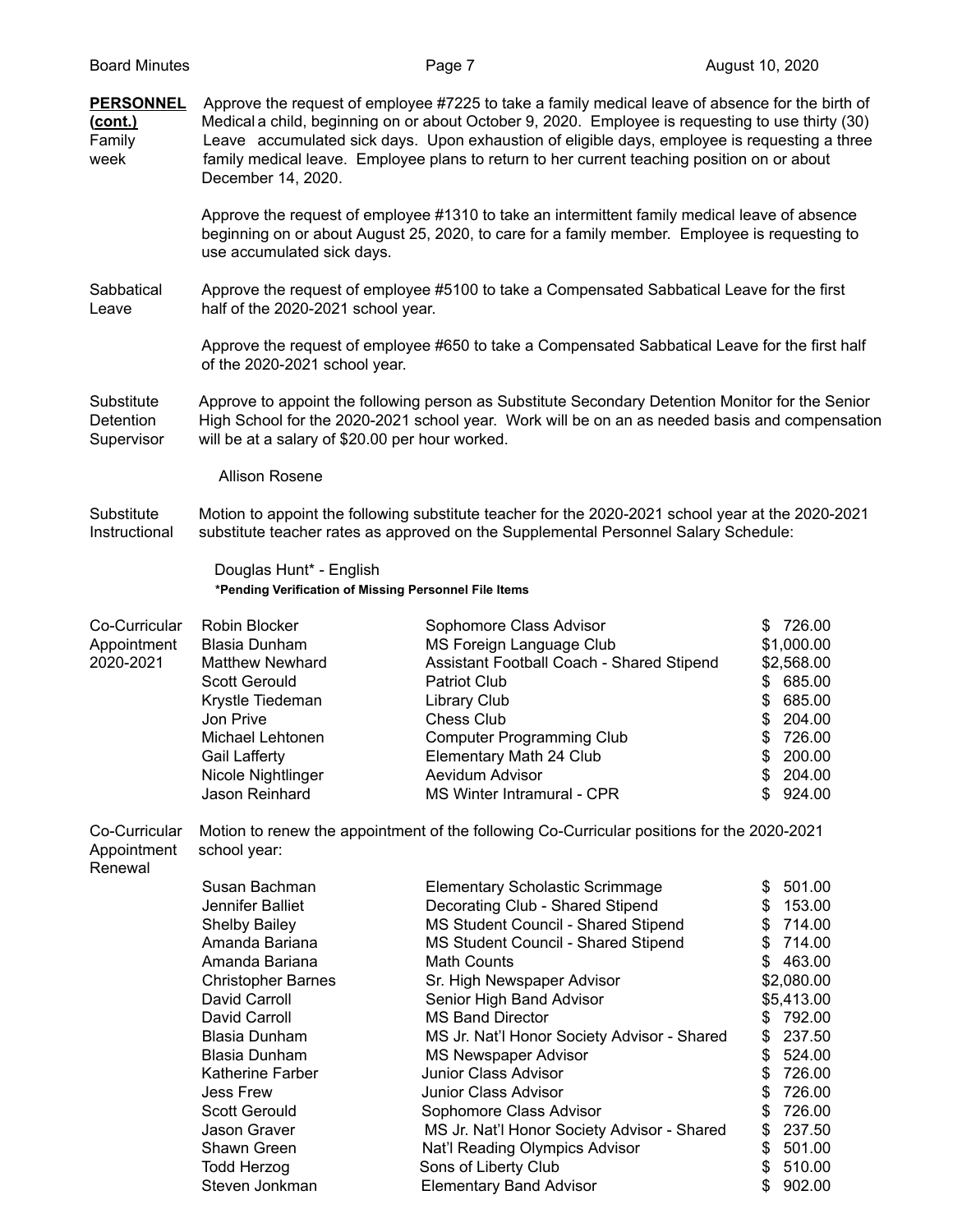|                                                                                                                                                                                                                                                                                                                                                                                                                             | Page 7                                                                                                                                                                                                                                                                                                                                                                                                                                  | August 10, 2020                                                                                                                                                                                                                                                                                                                                                                                                                                                                                                                                                                                                                                                                                                                                                                                                                                                                                                                                                                                                                                                                                                                                                      |
|-----------------------------------------------------------------------------------------------------------------------------------------------------------------------------------------------------------------------------------------------------------------------------------------------------------------------------------------------------------------------------------------------------------------------------|-----------------------------------------------------------------------------------------------------------------------------------------------------------------------------------------------------------------------------------------------------------------------------------------------------------------------------------------------------------------------------------------------------------------------------------------|----------------------------------------------------------------------------------------------------------------------------------------------------------------------------------------------------------------------------------------------------------------------------------------------------------------------------------------------------------------------------------------------------------------------------------------------------------------------------------------------------------------------------------------------------------------------------------------------------------------------------------------------------------------------------------------------------------------------------------------------------------------------------------------------------------------------------------------------------------------------------------------------------------------------------------------------------------------------------------------------------------------------------------------------------------------------------------------------------------------------------------------------------------------------|
| Approve the request of employee #7225 to take a family medical leave of absence for the birth of<br>Medical a child, beginning on or about October 9, 2020. Employee is requesting to use thirty (30)<br>Leave accumulated sick days. Upon exhaustion of eligible days, employee is requesting a three<br>family medical leave. Employee plans to return to her current teaching position on or about<br>December 14, 2020. |                                                                                                                                                                                                                                                                                                                                                                                                                                         |                                                                                                                                                                                                                                                                                                                                                                                                                                                                                                                                                                                                                                                                                                                                                                                                                                                                                                                                                                                                                                                                                                                                                                      |
| use accumulated sick days.                                                                                                                                                                                                                                                                                                                                                                                                  |                                                                                                                                                                                                                                                                                                                                                                                                                                         |                                                                                                                                                                                                                                                                                                                                                                                                                                                                                                                                                                                                                                                                                                                                                                                                                                                                                                                                                                                                                                                                                                                                                                      |
|                                                                                                                                                                                                                                                                                                                                                                                                                             |                                                                                                                                                                                                                                                                                                                                                                                                                                         |                                                                                                                                                                                                                                                                                                                                                                                                                                                                                                                                                                                                                                                                                                                                                                                                                                                                                                                                                                                                                                                                                                                                                                      |
| of the 2020-2021 school year.                                                                                                                                                                                                                                                                                                                                                                                               |                                                                                                                                                                                                                                                                                                                                                                                                                                         |                                                                                                                                                                                                                                                                                                                                                                                                                                                                                                                                                                                                                                                                                                                                                                                                                                                                                                                                                                                                                                                                                                                                                                      |
|                                                                                                                                                                                                                                                                                                                                                                                                                             |                                                                                                                                                                                                                                                                                                                                                                                                                                         |                                                                                                                                                                                                                                                                                                                                                                                                                                                                                                                                                                                                                                                                                                                                                                                                                                                                                                                                                                                                                                                                                                                                                                      |
| <b>Allison Rosene</b>                                                                                                                                                                                                                                                                                                                                                                                                       |                                                                                                                                                                                                                                                                                                                                                                                                                                         |                                                                                                                                                                                                                                                                                                                                                                                                                                                                                                                                                                                                                                                                                                                                                                                                                                                                                                                                                                                                                                                                                                                                                                      |
|                                                                                                                                                                                                                                                                                                                                                                                                                             |                                                                                                                                                                                                                                                                                                                                                                                                                                         |                                                                                                                                                                                                                                                                                                                                                                                                                                                                                                                                                                                                                                                                                                                                                                                                                                                                                                                                                                                                                                                                                                                                                                      |
| Douglas Hunt* - English<br>*Pending Verification of Missing Personnel File Items                                                                                                                                                                                                                                                                                                                                            |                                                                                                                                                                                                                                                                                                                                                                                                                                         |                                                                                                                                                                                                                                                                                                                                                                                                                                                                                                                                                                                                                                                                                                                                                                                                                                                                                                                                                                                                                                                                                                                                                                      |
| Robin Blocker<br>Blasia Dunham<br><b>Matthew Newhard</b><br><b>Scott Gerould</b><br>Krystle Tiedeman<br>Jon Prive<br>Michael Lehtonen<br>Gail Lafferty<br>Nicole Nightlinger<br>Jason Reinhard                                                                                                                                                                                                                              | Sophomore Class Advisor<br>MS Foreign Language Club<br><b>Patriot Club</b><br><b>Library Club</b><br><b>Chess Club</b><br><b>Computer Programming Club</b><br>Elementary Math 24 Club<br>Aevidum Advisor<br>MS Winter Intramural - CPR                                                                                                                                                                                                  | \$726.00<br>\$1,000.00<br>\$2,568.00<br>685.00<br>\$<br>685.00<br>\$<br>204.00<br>\$<br>726.00<br>\$<br>200.00<br>\$<br>\$<br>204.00<br>924.00                                                                                                                                                                                                                                                                                                                                                                                                                                                                                                                                                                                                                                                                                                                                                                                                                                                                                                                                                                                                                       |
| school year:                                                                                                                                                                                                                                                                                                                                                                                                                |                                                                                                                                                                                                                                                                                                                                                                                                                                         |                                                                                                                                                                                                                                                                                                                                                                                                                                                                                                                                                                                                                                                                                                                                                                                                                                                                                                                                                                                                                                                                                                                                                                      |
| Susan Bachman<br>Jennifer Balliet<br><b>Shelby Bailey</b><br>Amanda Bariana<br>Amanda Bariana<br><b>Christopher Barnes</b><br>David Carroll<br>David Carroll<br>Blasia Dunham<br><b>Blasia Dunham</b><br>Katherine Farber<br><b>Jess Frew</b><br><b>Scott Gerould</b><br>Jason Graver<br>Shawn Green<br><b>Todd Herzog</b>                                                                                                  | <b>Elementary Scholastic Scrimmage</b><br>Decorating Club - Shared Stipend<br>MS Student Council - Shared Stipend<br>MS Student Council - Shared Stipend<br><b>Math Counts</b><br>Sr. High Newspaper Advisor<br>Senior High Band Advisor<br><b>MS Band Director</b><br><b>MS Newspaper Advisor</b><br>Junior Class Advisor<br>Junior Class Advisor<br>Sophomore Class Advisor<br>Nat'l Reading Olympics Advisor<br>Sons of Liberty Club | 501.00<br>\$<br>153.00<br>\$<br>714.00<br>\$<br>714.00<br>\$<br>463.00<br>S<br>\$2,080.00<br>\$5,413.00<br>792.00<br>\$<br>237.50<br>\$<br>\$<br>524.00<br>\$<br>726.00<br>\$<br>726.00<br>\$<br>726.00<br>237.50<br>\$<br>\$<br>501.00<br>510.00<br>\$<br>902.00                                                                                                                                                                                                                                                                                                                                                                                                                                                                                                                                                                                                                                                                                                                                                                                                                                                                                                    |
|                                                                                                                                                                                                                                                                                                                                                                                                                             | Steven Jonkman                                                                                                                                                                                                                                                                                                                                                                                                                          | Approve the request of employee #1310 to take an intermittent family medical leave of absence<br>beginning on or about August 25, 2020, to care for a family member. Employee is requesting to<br>Approve the request of employee #5100 to take a Compensated Sabbatical Leave for the first<br>half of the 2020-2021 school year.<br>Approve the request of employee #650 to take a Compensated Sabbatical Leave for the first half<br>Approve to appoint the following person as Substitute Secondary Detention Monitor for the Senior<br>High School for the 2020-2021 school year. Work will be on an as needed basis and compensation<br>will be at a salary of \$20.00 per hour worked.<br>Motion to appoint the following substitute teacher for the 2020-2021 school year at the 2020-2021<br>substitute teacher rates as approved on the Supplemental Personnel Salary Schedule:<br>Assistant Football Coach - Shared Stipend<br>Motion to renew the appointment of the following Co-Curricular positions for the 2020-2021<br>MS Jr. Nat'l Honor Society Advisor - Shared<br>MS Jr. Nat'l Honor Society Advisor - Shared<br><b>Elementary Band Advisor</b> |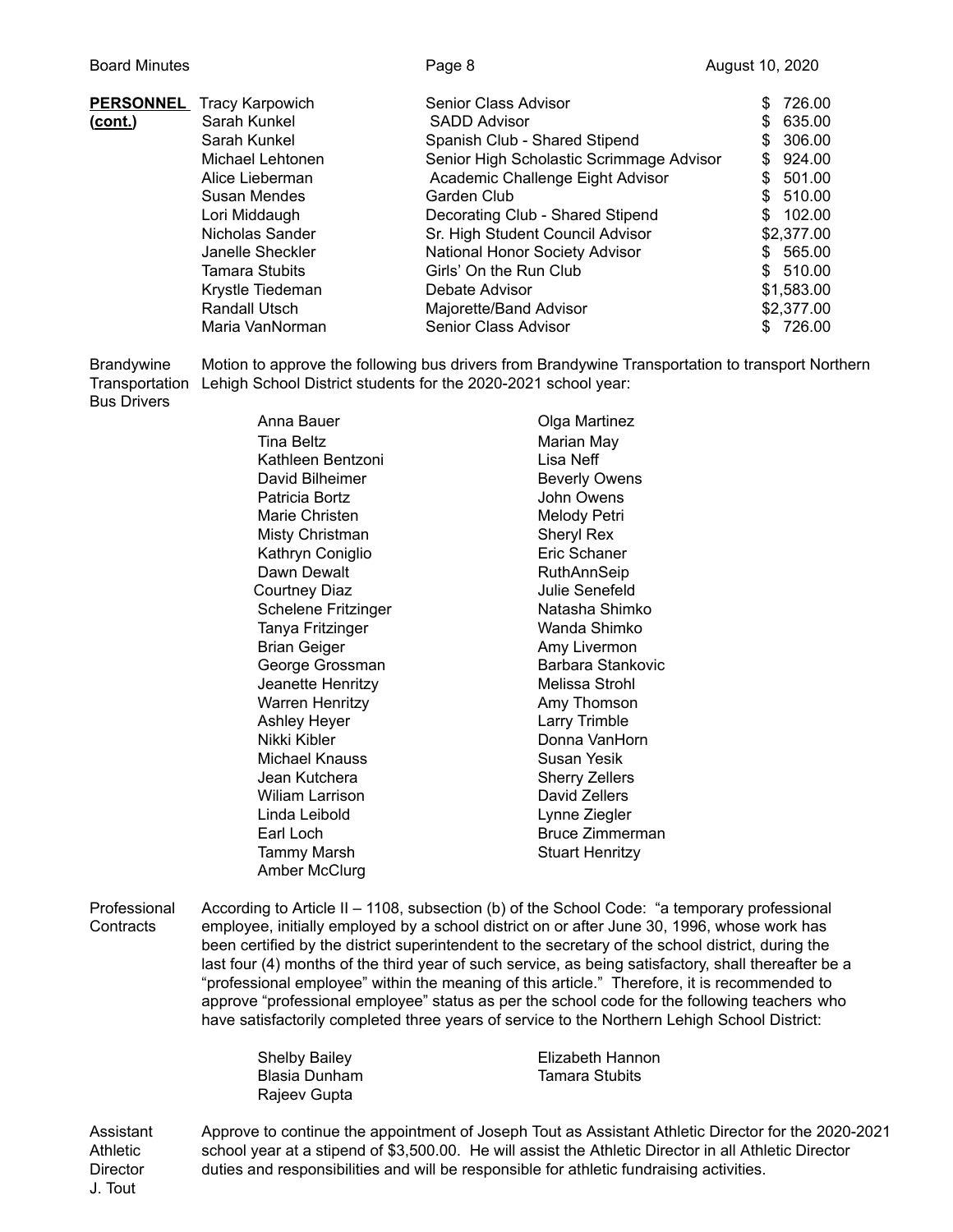|                | <b>PERSONNEL</b> Tracy Karpowich | Senior Class Advisor                     |     | 726.00     |
|----------------|----------------------------------|------------------------------------------|-----|------------|
| <u>(cont.)</u> | Sarah Kunkel                     | <b>SADD Advisor</b>                      |     | 635.00     |
|                | Sarah Kunkel                     | Spanish Club - Shared Stipend            | SS. | 306.00     |
|                | Michael Lehtonen                 | Senior High Scholastic Scrimmage Advisor | \$  | 924.00     |
|                | Alice Lieberman                  | Academic Challenge Eight Advisor         | \$. | 501.00     |
|                | Susan Mendes                     | Garden Club                              |     | \$510.00   |
|                | Lori Middaugh                    | Decorating Club - Shared Stipend         |     | \$102.00   |
|                | Nicholas Sander                  | Sr. High Student Council Advisor         |     | \$2,377.00 |
|                | Janelle Sheckler                 | National Honor Society Advisor           |     | \$565.00   |
|                | <b>Tamara Stubits</b>            | Girls' On the Run Club                   |     | \$510.00   |
|                | Krystle Tiedeman                 | Debate Advisor                           |     | \$1,583.00 |
|                | Randall Utsch                    | Majorette/Band Advisor                   |     | \$2,377.00 |
|                | Maria VanNorman                  | Senior Class Advisor                     |     | \$726.00   |

Brandywine Motion to approve the following bus drivers from Brandywine Transportation to transport Northern Transportation Lehigh School District students for the 2020-2021 school year: Bus Drivers

> Anna Bauer **Canadian Colga Martinez** Tina Beltz **Marian May** Kathleen Bentzoni Lisa Neff David Bilheimer **Beverly Owens** Patricia Bortz **International Community** John Owens Marie Christen Melody Petri Misty Christman Sheryl Rex Kathryn Coniglio **Executive Executer Engineer** Eric Schaner Dawn Dewalt **RuthAnnSeip** Courtney Diaz **Julie Senefeld** Schelene Fritzinger Natasha Shimko Tanya Fritzinger Wanda Shimko Brian Geiger **Amy Livermon** George Grossman Barbara Stankovic Jeanette Henritzy **Melissa** Strohl Warren Henritzy **Amy Thomson** Ashley Heyer **Larry Trimble** Nikki Kibler **Donna VanHorn** Michael Knauss Susan Yesik Jean Kutchera **Sherry Zellers** Wiliam Larrison **David Zellers** Linda Leibold Lynne Ziegler Earl Loch Bruce Zimmerman Tammy Marsh Stuart Henritzy Amber McClurg

Professional According to Article II – 1108, subsection (b) of the School Code: "a temporary professional Contracts employee, initially employed by a school district on or after June 30, 1996, whose work has been certified by the district superintendent to the secretary of the school district, during the last four (4) months of the third year of such service, as being satisfactory, shall thereafter be a "professional employee" within the meaning of this article." Therefore, it is recommended to approve "professional employee" status as per the school code for the following teachers who have satisfactorily completed three years of service to the Northern Lehigh School District:

| <b>Shelby Bailey</b> | Elizabeth Hannon      |
|----------------------|-----------------------|
| Blasia Dunham        | <b>Tamara Stubits</b> |
| Rajeev Gupta         |                       |

Assistant Approve to continue the appointment of Joseph Tout as Assistant Athletic Director for the 2020-2021 Athletic school year at a stipend of \$3,500.00. He will assist the Athletic Director in all Athletic Director Director duties and responsibilities and will be responsible for athletic fundraising activities. J. Tout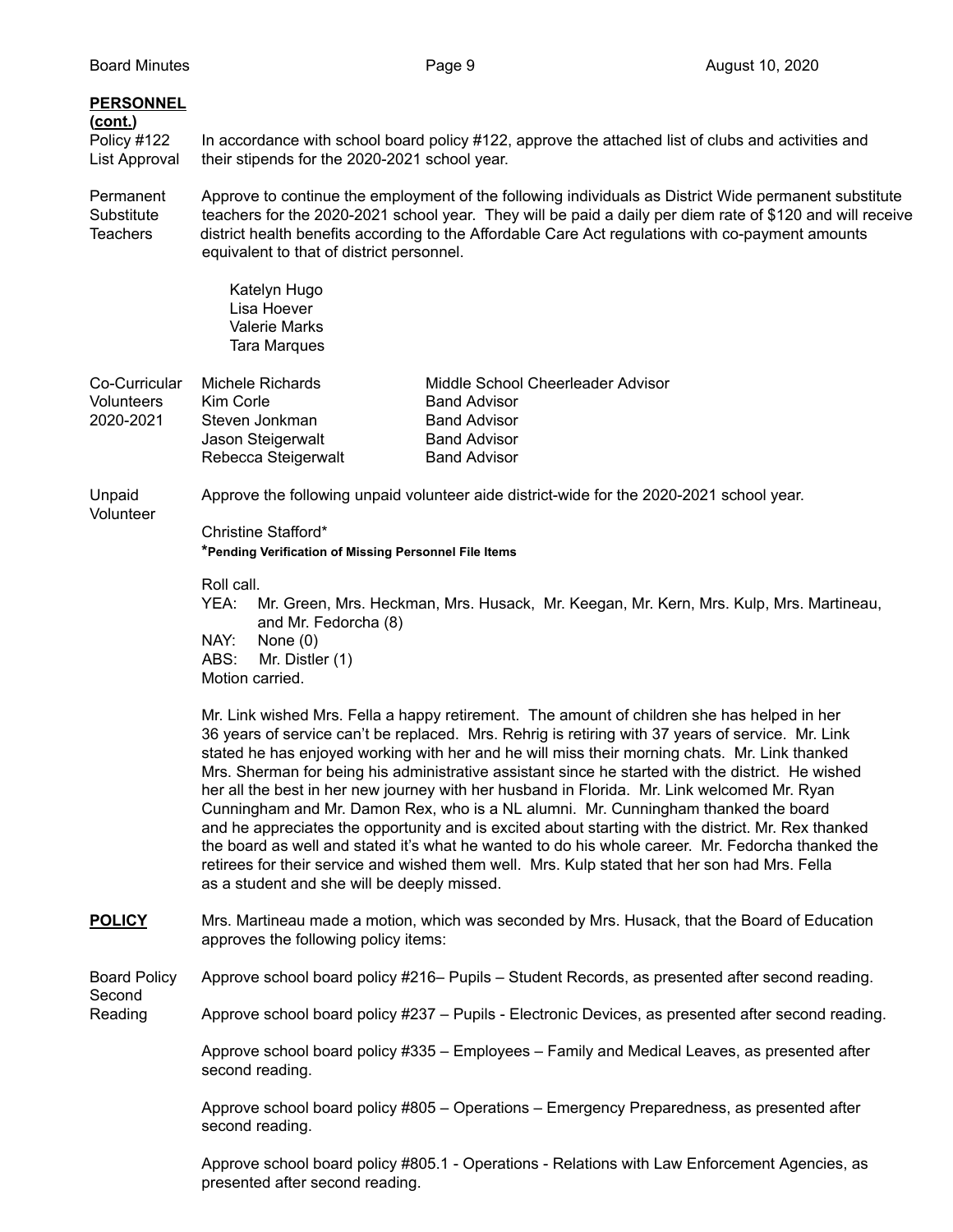## **PERSONNEL (cont.)** Policy #122 In accordance with school board policy #122, approve the attached list of clubs and activities and List Approval their stipends for the 2020-2021 school year.

Permanent Approve to continue the employment of the following individuals as District Wide permanent substitute Substitute teachers for the 2020-2021 school year. They will be paid a daily per diem rate of \$120 and will receive Teachers district health benefits according to the Affordable Care Act regulations with co-payment amounts equivalent to that of district personnel.

> Katelyn Hugo Lisa Hoever Valerie Marks Tara Marques

| Co-Curricular     | Michele Richards    | Middle School Cheerleader Advisor |
|-------------------|---------------------|-----------------------------------|
| <b>Volunteers</b> | Kim Corle           | <b>Band Advisor</b>               |
| 2020-2021         | Steven Jonkman      | <b>Band Advisor</b>               |
|                   | Jason Steigerwalt   | <b>Band Advisor</b>               |
|                   | Rebecca Steigerwalt | <b>Band Advisor</b>               |

Unpaid Approve the following unpaid volunteer aide district-wide for the 2020-2021 school year.

Second

Christine Stafford\* **\*Pending Verification of Missing Personnel File Items**

Roll call.

YEA: Mr. Green, Mrs. Heckman, Mrs. Husack, Mr. Keegan, Mr. Kern, Mrs. Kulp, Mrs. Martineau, and Mr. Fedorcha (8)

NAY: None (0)

ABS: Mr. Distler (1) Motion carried.

Mr. Link wished Mrs. Fella a happy retirement. The amount of children she has helped in her 36 years of service can't be replaced. Mrs. Rehrig is retiring with 37 years of service. Mr. Link stated he has enjoyed working with her and he will miss their morning chats. Mr. Link thanked Mrs. Sherman for being his administrative assistant since he started with the district. He wished her all the best in her new journey with her husband in Florida. Mr. Link welcomed Mr. Ryan Cunningham and Mr. Damon Rex, who is a NL alumni. Mr. Cunningham thanked the board and he appreciates the opportunity and is excited about starting with the district. Mr. Rex thanked the board as well and stated it's what he wanted to do his whole career. Mr. Fedorcha thanked the retirees for their service and wished them well. Mrs. Kulp stated that her son had Mrs. Fella as a student and she will be deeply missed.

**POLICY** Mrs. Martineau made a motion, which was seconded by Mrs. Husack, that the Board of Education approves the following policy items:

Board Policy Approve school board policy #216– Pupils – Student Records, as presented after second reading.

Reading Approve school board policy #237 – Pupils - Electronic Devices, as presented after second reading.

Approve school board policy #335 – Employees – Family and Medical Leaves, as presented after second reading.

Approve school board policy #805 – Operations – Emergency Preparedness, as presented after second reading.

Approve school board policy #805.1 - Operations - Relations with Law Enforcement Agencies, as presented after second reading.

Volunteer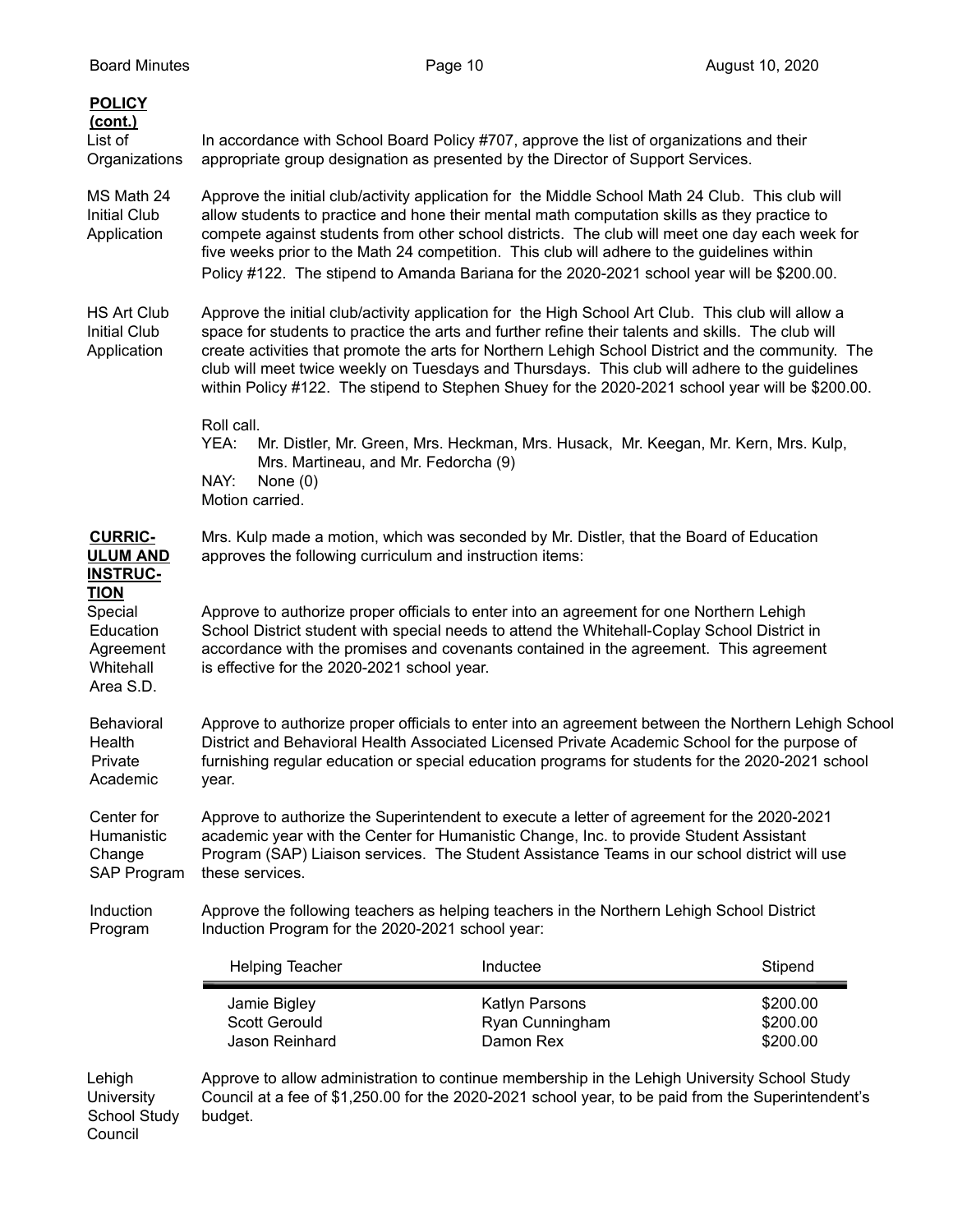| <b>POLICY</b><br>(cont.)<br>List of<br>Organizations                       | In accordance with School Board Policy #707, approve the list of organizations and their<br>appropriate group designation as presented by the Director of Support Services.                                                                                                                                                                                                                                                                                                                                          |                                                                                     |                                  |
|----------------------------------------------------------------------------|----------------------------------------------------------------------------------------------------------------------------------------------------------------------------------------------------------------------------------------------------------------------------------------------------------------------------------------------------------------------------------------------------------------------------------------------------------------------------------------------------------------------|-------------------------------------------------------------------------------------|----------------------------------|
| MS Math 24<br><b>Initial Club</b><br>Application                           | Approve the initial club/activity application for the Middle School Math 24 Club. This club will<br>allow students to practice and hone their mental math computation skills as they practice to<br>compete against students from other school districts. The club will meet one day each week for<br>five weeks prior to the Math 24 competition. This club will adhere to the guidelines within<br>Policy #122. The stipend to Amanda Bariana for the 2020-2021 school year will be \$200.00.                      |                                                                                     |                                  |
| <b>HS Art Club</b><br><b>Initial Club</b><br>Application                   | Approve the initial club/activity application for the High School Art Club. This club will allow a<br>space for students to practice the arts and further refine their talents and skills. The club will<br>create activities that promote the arts for Northern Lehigh School District and the community. The<br>club will meet twice weekly on Tuesdays and Thursdays. This club will adhere to the guidelines<br>within Policy #122. The stipend to Stephen Shuey for the 2020-2021 school year will be \$200.00. |                                                                                     |                                  |
|                                                                            | Roll call.<br>YEA:<br>Mrs. Martineau, and Mr. Fedorcha (9)<br>NAY:<br>None $(0)$<br>Motion carried.                                                                                                                                                                                                                                                                                                                                                                                                                  | Mr. Distler, Mr. Green, Mrs. Heckman, Mrs. Husack, Mr. Keegan, Mr. Kern, Mrs. Kulp, |                                  |
| <b>CURRIC-</b><br><b>ULUM AND</b><br><b>INSTRUC-</b>                       | Mrs. Kulp made a motion, which was seconded by Mr. Distler, that the Board of Education<br>approves the following curriculum and instruction items:                                                                                                                                                                                                                                                                                                                                                                  |                                                                                     |                                  |
| <b>TION</b><br>Special<br>Education<br>Agreement<br>Whitehall<br>Area S.D. | Approve to authorize proper officials to enter into an agreement for one Northern Lehigh<br>School District student with special needs to attend the Whitehall-Coplay School District in<br>accordance with the promises and covenants contained in the agreement. This agreement<br>is effective for the 2020-2021 school year.                                                                                                                                                                                     |                                                                                     |                                  |
| Behavioral<br>Health<br>Private<br>Academic                                | Approve to authorize proper officials to enter into an agreement between the Northern Lehigh School<br>District and Behavioral Health Associated Licensed Private Academic School for the purpose of<br>furnishing regular education or special education programs for students for the 2020-2021 school<br>year.                                                                                                                                                                                                    |                                                                                     |                                  |
| Center for<br>Humanistic<br>Change<br>SAP Program                          | Approve to authorize the Superintendent to execute a letter of agreement for the 2020-2021<br>academic year with the Center for Humanistic Change, Inc. to provide Student Assistant<br>Program (SAP) Liaison services. The Student Assistance Teams in our school district will use<br>these services.                                                                                                                                                                                                              |                                                                                     |                                  |
| Induction<br>Program                                                       | Approve the following teachers as helping teachers in the Northern Lehigh School District<br>Induction Program for the 2020-2021 school year:                                                                                                                                                                                                                                                                                                                                                                        |                                                                                     |                                  |
|                                                                            | Helping Teacher                                                                                                                                                                                                                                                                                                                                                                                                                                                                                                      | Inductee                                                                            | Stipend                          |
|                                                                            | Jamie Bigley<br><b>Scott Gerould</b><br>Jason Reinhard                                                                                                                                                                                                                                                                                                                                                                                                                                                               | Katlyn Parsons<br>Ryan Cunningham<br>Damon Rex                                      | \$200.00<br>\$200.00<br>\$200.00 |
| Lehigh<br>University<br><b>School Study</b>                                | Approve to allow administration to continue membership in the Lehigh University School Study<br>Council at a fee of \$1,250.00 for the 2020-2021 school year, to be paid from the Superintendent's<br>budget.                                                                                                                                                                                                                                                                                                        |                                                                                     |                                  |

Council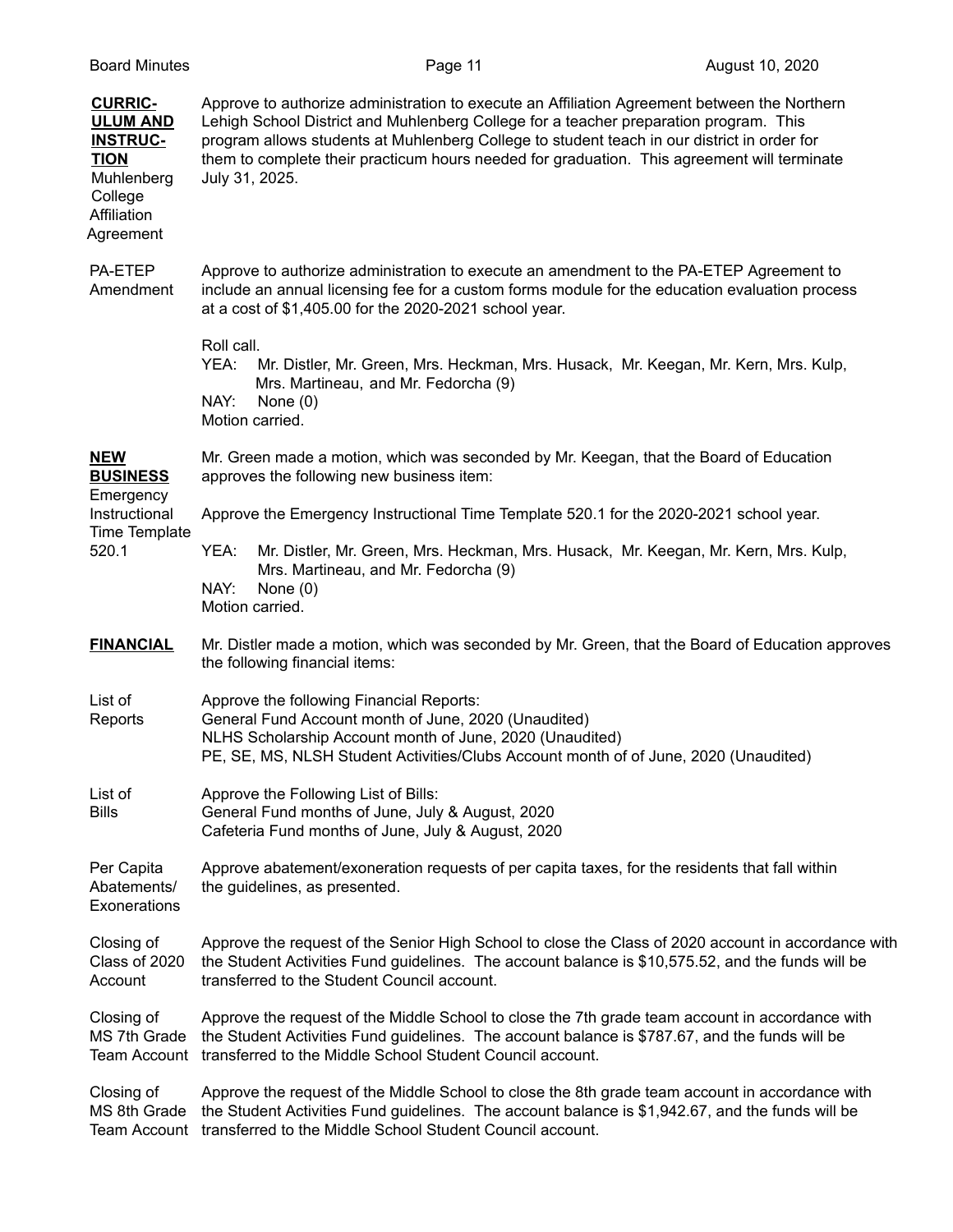| <b>Board Minutes</b>                                                                                                     |                            | Page 11                                                                                                                                                                                                                                                                                                                                                                             | August 10, 2020 |
|--------------------------------------------------------------------------------------------------------------------------|----------------------------|-------------------------------------------------------------------------------------------------------------------------------------------------------------------------------------------------------------------------------------------------------------------------------------------------------------------------------------------------------------------------------------|-----------------|
| <b>CURRIC-</b><br><b>ULUM AND</b><br><b>INSTRUC-</b><br><b>TION</b><br>Muhlenberg<br>College<br>Affiliation<br>Agreement | July 31, 2025.             | Approve to authorize administration to execute an Affiliation Agreement between the Northern<br>Lehigh School District and Muhlenberg College for a teacher preparation program. This<br>program allows students at Muhlenberg College to student teach in our district in order for<br>them to complete their practicum hours needed for graduation. This agreement will terminate |                 |
| PA-ETEP<br>Amendment                                                                                                     |                            | Approve to authorize administration to execute an amendment to the PA-ETEP Agreement to<br>include an annual licensing fee for a custom forms module for the education evaluation process<br>at a cost of \$1,405.00 for the 2020-2021 school year.                                                                                                                                 |                 |
|                                                                                                                          | Roll call.<br>YEA:<br>NAY: | Mr. Distler, Mr. Green, Mrs. Heckman, Mrs. Husack, Mr. Keegan, Mr. Kern, Mrs. Kulp,<br>Mrs. Martineau, and Mr. Fedorcha (9)<br>None $(0)$<br>Motion carried.                                                                                                                                                                                                                        |                 |
| <b>NEW</b><br><b>BUSINESS</b><br>Emergency                                                                               |                            | Mr. Green made a motion, which was seconded by Mr. Keegan, that the Board of Education<br>approves the following new business item:                                                                                                                                                                                                                                                 |                 |
| Instructional                                                                                                            |                            | Approve the Emergency Instructional Time Template 520.1 for the 2020-2021 school year.                                                                                                                                                                                                                                                                                              |                 |
| Time Template<br>520.1                                                                                                   | YEA:                       | Mr. Distler, Mr. Green, Mrs. Heckman, Mrs. Husack, Mr. Keegan, Mr. Kern, Mrs. Kulp,                                                                                                                                                                                                                                                                                                 |                 |
|                                                                                                                          | NAY:                       | Mrs. Martineau, and Mr. Fedorcha (9)<br>None $(0)$<br>Motion carried.                                                                                                                                                                                                                                                                                                               |                 |
| <b>FINANCIAL</b>                                                                                                         |                            | Mr. Distler made a motion, which was seconded by Mr. Green, that the Board of Education approves<br>the following financial items:                                                                                                                                                                                                                                                  |                 |
| List of<br>Reports                                                                                                       |                            | Approve the following Financial Reports:<br>General Fund Account month of June, 2020 (Unaudited)<br>NLHS Scholarship Account month of June, 2020 (Unaudited)<br>PE, SE, MS, NLSH Student Activities/Clubs Account month of of June, 2020 (Unaudited)                                                                                                                                |                 |
| List of<br><b>Bills</b>                                                                                                  |                            | Approve the Following List of Bills:<br>General Fund months of June, July & August, 2020<br>Cafeteria Fund months of June, July & August, 2020                                                                                                                                                                                                                                      |                 |
| Per Capita<br>Abatements/<br>Exonerations                                                                                |                            | Approve abatement/exoneration requests of per capita taxes, for the residents that fall within<br>the guidelines, as presented.                                                                                                                                                                                                                                                     |                 |
| Closing of<br>Class of 2020<br>Account                                                                                   |                            | Approve the request of the Senior High School to close the Class of 2020 account in accordance with<br>the Student Activities Fund guidelines. The account balance is \$10,575.52, and the funds will be<br>transferred to the Student Council account.                                                                                                                             |                 |
| Closing of<br>MS 7th Grade<br><b>Team Account</b>                                                                        |                            | Approve the request of the Middle School to close the 7th grade team account in accordance with<br>the Student Activities Fund guidelines. The account balance is \$787.67, and the funds will be<br>transferred to the Middle School Student Council account.                                                                                                                      |                 |
| Closing of<br>MS 8th Grade<br><b>Team Account</b>                                                                        |                            | Approve the request of the Middle School to close the 8th grade team account in accordance with<br>the Student Activities Fund guidelines. The account balance is \$1,942.67, and the funds will be<br>transferred to the Middle School Student Council account.                                                                                                                    |                 |